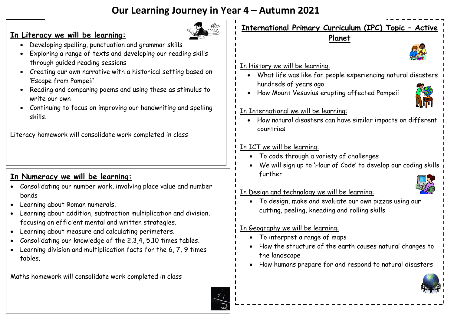## **Our Learning Journey in Year 4 – Autumn 2021**

## **In Literacy we will be learning:**



- Developing spelling, punctuation and grammar skills
- Exploring a range of texts and developing our reading skills through guided reading sessions
- Creating our own narrative with a historical setting based on 'Escape from Pompeii'
- Reading and comparing poems and using these as stimulus to write our own
- Continuing to focus on improving our handwriting and spelling skills.

Literacy homework will consolidate work completed in class

## **In Numeracy we will be learning:**

- Consolidating our number work, involving place value and number bonds
- Learning about Roman numerals.
- Learning about addition, subtraction multiplication and division. focusing on efficient mental and written strategies.
- Learning about measure and calculating perimeters.
- Consolidating our knowledge of the 2,3,4, 5,10 times tables.
- Learning division and multiplication facts for the 6, 7, 9 times tables.

Maths homework will consolidate work completed in class

**International Primary Curriculum (IPC) Topic – Active Planet** In History we will be learning: What life was like for people experiencing natural disasters hundreds of years ago How Mount Vesuvius erupting affected Pompeii In International we will be learning: How natural disasters can have similar impacts on different countries In ICT we will be learning: To code through a variety of challenges We will sign up to 'Hour of Code' to develop our coding skills further In Design and technology we will be learning: To design, make and evaluate our own pizzas using our cutting, peeling, kneading and rolling skills In Geography we will be learning: To interpret a range of maps How the structure of the earth causes natural changes to the landscape How humans prepare for and respond to natural disasters